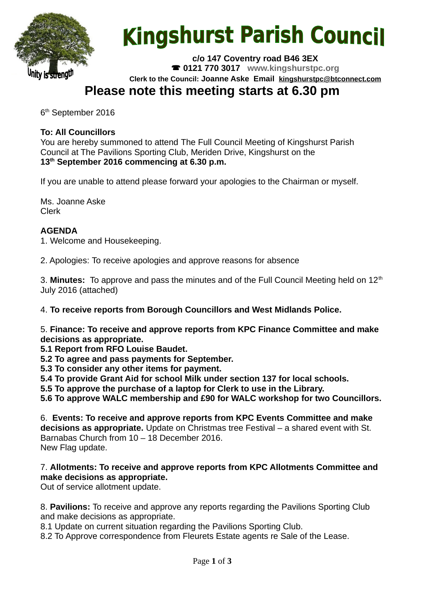

# **Kingshurst Parish Council**

**c/o 147 Coventry road B46 3EX 0121 770 3017 www.kingshurstpc.org Clerk to the Council: Joanne Aske Email [kingshurstpc@btconnect.com](mailto:kingshurstpc@btconnect.com)**

# **Please note this meeting starts at 6.30 pm**

6<sup>th</sup> September 2016

# **To: All Councillors**

You are hereby summoned to attend The Full Council Meeting of Kingshurst Parish Council at The Pavilions Sporting Club, Meriden Drive, Kingshurst on the **13th September 2016 commencing at 6.30 p.m.**

If you are unable to attend please forward your apologies to the Chairman or myself.

Ms. Joanne Aske Clerk

## **AGENDA**

1. Welcome and Housekeeping.

2. Apologies: To receive apologies and approve reasons for absence

3. Minutes: To approve and pass the minutes and of the Full Council Meeting held on 12<sup>th</sup> July 2016 (attached)

4. **To receive reports from Borough Councillors and West Midlands Police.**

5. **Finance: To receive and approve reports from KPC Finance Committee and make decisions as appropriate.**

**5.1 Report from RFO Louise Baudet.**

**5.2 To agree and pass payments for September.**

**5.3 To consider any other items for payment.**

**5.4 To provide Grant Aid for school Milk under section 137 for local schools.**

**5.5 To approve the purchase of a laptop for Clerk to use in the Library.**

**5.6 To approve WALC membership and £90 for WALC workshop for two Councillors.**

6. **Events: To receive and approve reports from KPC Events Committee and make decisions as appropriate.** Update on Christmas tree Festival – a shared event with St. Barnabas Church from 10 – 18 December 2016. New Flag update.

#### 7. **Allotments: To receive and approve reports from KPC Allotments Committee and make decisions as appropriate.**

Out of service allotment update.

8. **Pavilions:** To receive and approve any reports regarding the Pavilions Sporting Club and make decisions as appropriate.

8.1 Update on current situation regarding the Pavilions Sporting Club.

8.2 To Approve correspondence from Fleurets Estate agents re Sale of the Lease.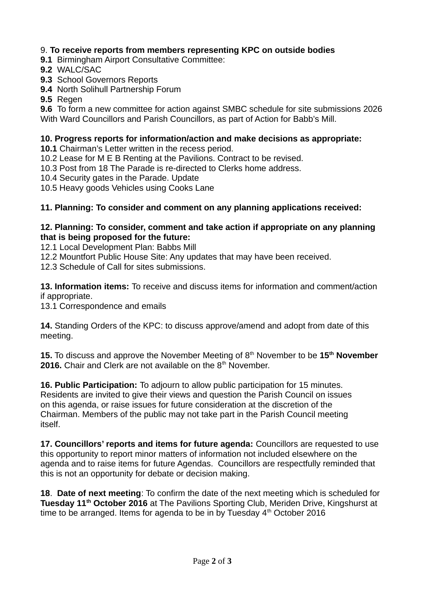## 9. **To receive reports from members representing KPC on outside bodies**

- **9.1 Birmingham Airport Consultative Committee:**
- **9.2** WALC/SAC
- **9.3** School Governors Reports
- **9.4** North Solihull Partnership Forum
- **9.5** Regen

**9.6** To form a new committee for action against SMBC schedule for site submissions 2026 With Ward Councillors and Parish Councillors, as part of Action for Babb's Mill.

#### **10. Progress reports for information/action and make decisions as appropriate:**

**10.1** Chairman's Letter written in the recess period.

- 10.2 Lease for M E B Renting at the Pavilions. Contract to be revised.
- 10.3 Post from 18 The Parade is re-directed to Clerks home address.
- 10.4 Security gates in the Parade. Update
- 10.5 Heavy goods Vehicles using Cooks Lane

#### **11. Planning: To consider and comment on any planning applications received:**

#### **12. Planning: To consider, comment and take action if appropriate on any planning that is being proposed for the future:**

12.1 Local Development Plan: Babbs Mill

12.2 Mountfort Public House Site: Any updates that may have been received.

12.3 Schedule of Call for sites submissions.

**13. Information items:** To receive and discuss items for information and comment/action if appropriate.

13.1 Correspondence and emails

**14.** Standing Orders of the KPC: to discuss approve/amend and adopt from date of this meeting.

**15.** To discuss and approve the November Meeting of 8th November to be **15th November 2016.** Chair and Clerk are not available on the 8<sup>th</sup> November.

**16. Public Participation:** To adjourn to allow public participation for 15 minutes. Residents are invited to give their views and question the Parish Council on issues on this agenda, or raise issues for future consideration at the discretion of the Chairman. Members of the public may not take part in the Parish Council meeting itself.

**17. Councillors' reports and items for future agenda:** Councillors are requested to use this opportunity to report minor matters of information not included elsewhere on the agenda and to raise items for future Agendas. Councillors are respectfully reminded that this is not an opportunity for debate or decision making.

**18**. **Date of next meeting**: To confirm the date of the next meeting which is scheduled for **Tuesday 11th October 2016** at The Pavilions Sporting Club, Meriden Drive, Kingshurst at time to be arranged. Items for agenda to be in by Tuesday  $4<sup>th</sup>$  October 2016